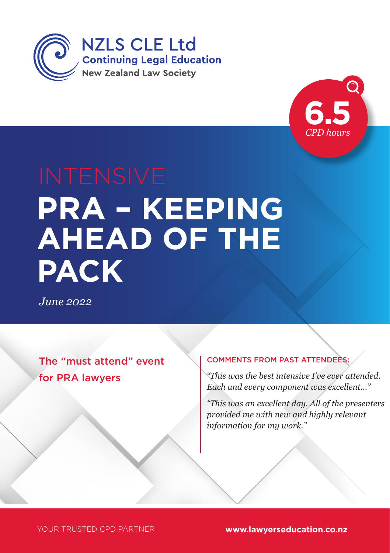



# **PRA – KEEPING AHEAD OF THE PACK**

*June 2022*

The "must attend" event for PRA lawyers

#### COMMENTS FROM PAST ATTENDEES:

*"This was the best intensive I've ever attended. Each and every component was excellent..."* 

*"This was an excellent day. All of the presenters provided me with new and highly relevant information for my work."*

YOUR TRUSTED CPD PARTNER **www.lawyerseducation.co.nz**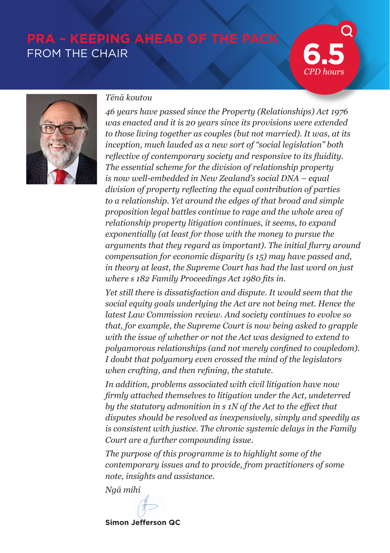# **PRA – KEEPING AHEAD OF THE PACK FROM THE CHAIR**

*CPD hours*



#### *Tēnā koutou*

*46 years have passed since the Property (Relationships) Act 1976 was enacted and it is 20 years since its provisions were extended to those living together as couples (but not married). It was, at its inception, much lauded as a new sort of "social legislation" both reflective of contemporary society and responsive to its fluidity. The essential scheme for the division of relationship property is now well-embedded in New Zealand's social DNA – equal division of property reflecting the equal contribution of parties to a relationship. Yet around the edges of that broad and simple proposition legal battles continue to rage and the whole area of relationship property litigation continues, it seems, to expand exponentially (at least for those with the money to pursue the arguments that they regard as important). The initial flurry around compensation for economic disparity (s 15) may have passed and, in theory at least, the Supreme Court has had the last word on just where s 182 Family Proceedings Act 1980 fits in.*

*Yet still there is dissatisfaction and dispute. It would seem that the social equity goals underlying the Act are not being met. Hence the latest Law Commission review. And society continues to evolve so that, for example, the Supreme Court is now being asked to grapple with the issue of whether or not the Act was designed to extend to polyamorous relationships (and not merely confined to coupledom). I doubt that polyamory even crossed the mind of the legislators when crafting, and then refining, the statute.* 

*In addition, problems associated with civil litigation have now firmly attached themselves to litigation under the Act, undeterred by the statutory admonition in s 1N of the Act to the effect that disputes should be resolved as inexpensively, simply and speedily as is consistent with justice. The chronic systemic delays in the Family Court are a further compounding issue.*

*The purpose of this programme is to highlight some of the contemporary issues and to provide, from practitioners of some note, insights and assistance.*

*Ngā mihi*

**Simon Jefferson QC**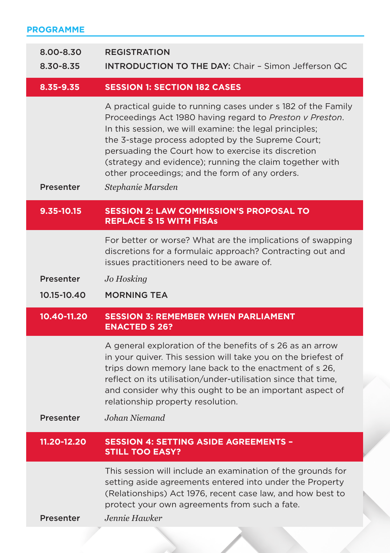| <b>PROGRAMME</b>       |                                                                                                                                                                                                                                                                                                                                                                                                                                    |  |  |  |  |
|------------------------|------------------------------------------------------------------------------------------------------------------------------------------------------------------------------------------------------------------------------------------------------------------------------------------------------------------------------------------------------------------------------------------------------------------------------------|--|--|--|--|
| 8.00-8.30<br>8.30-8.35 | <b>REGISTRATION</b><br><b>INTRODUCTION TO THE DAY: Chair - Simon Jefferson QC</b>                                                                                                                                                                                                                                                                                                                                                  |  |  |  |  |
| 8.35-9.35              | <b>SESSION 1: SECTION 182 CASES</b>                                                                                                                                                                                                                                                                                                                                                                                                |  |  |  |  |
| <b>Presenter</b>       | A practical guide to running cases under s 182 of the Family<br>Proceedings Act 1980 having regard to Preston v Preston.<br>In this session, we will examine: the legal principles;<br>the 3-stage process adopted by the Supreme Court;<br>persuading the Court how to exercise its discretion<br>(strategy and evidence); running the claim together with<br>other proceedings; and the form of any orders.<br>Stephanie Marsden |  |  |  |  |
| 9.35-10.15             | <b>SESSION 2: LAW COMMISSION'S PROPOSAL TO</b><br><b>REPLACE S 15 WITH FISAs</b>                                                                                                                                                                                                                                                                                                                                                   |  |  |  |  |
|                        | For better or worse? What are the implications of swapping<br>discretions for a formulaic approach? Contracting out and<br>issues practitioners need to be aware of.                                                                                                                                                                                                                                                               |  |  |  |  |
| Presenter              | Jo Hosking                                                                                                                                                                                                                                                                                                                                                                                                                         |  |  |  |  |
| 10.15-10.40            | <b>MORNING TEA</b>                                                                                                                                                                                                                                                                                                                                                                                                                 |  |  |  |  |
| 10.40-11.20            | <b>SESSION 3: REMEMBER WHEN PARLIAMENT</b><br><b>ENACTED S 26?</b>                                                                                                                                                                                                                                                                                                                                                                 |  |  |  |  |
| Presenter              | A general exploration of the benefits of s 26 as an arrow<br>in your quiver. This session will take you on the briefest of<br>trips down memory lane back to the enactment of s 26,<br>reflect on its utilisation/under-utilisation since that time,<br>and consider why this ought to be an important aspect of<br>relationship property resolution.<br>Johan Niemand                                                             |  |  |  |  |
| 11.20-12.20            | <b>SESSION 4: SETTING ASIDE AGREEMENTS -</b>                                                                                                                                                                                                                                                                                                                                                                                       |  |  |  |  |
|                        | <b>STILL TOO EASY?</b>                                                                                                                                                                                                                                                                                                                                                                                                             |  |  |  |  |
| Presenter              | This session will include an examination of the grounds for<br>setting aside agreements entered into under the Property<br>(Relationships) Act 1976, recent case law, and how best to<br>protect your own agreements from such a fate.<br>Jennie Hawker                                                                                                                                                                            |  |  |  |  |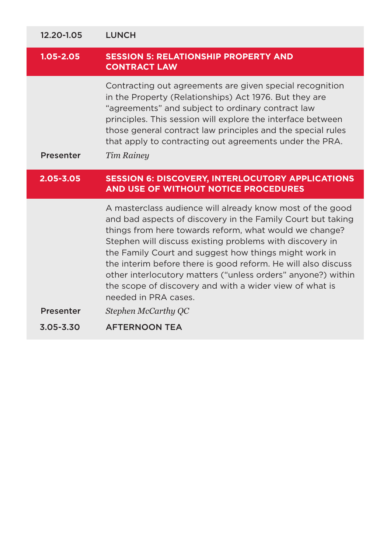| 12.20-1.05       | <b>LUNCH</b>                                                                                                                                                                                                                                                                                                                                                                                                                                                                                                                                       |  |  |
|------------------|----------------------------------------------------------------------------------------------------------------------------------------------------------------------------------------------------------------------------------------------------------------------------------------------------------------------------------------------------------------------------------------------------------------------------------------------------------------------------------------------------------------------------------------------------|--|--|
| $1.05 - 2.05$    | <b>SESSION 5: RELATIONSHIP PROPERTY AND</b><br><b>CONTRACT LAW</b>                                                                                                                                                                                                                                                                                                                                                                                                                                                                                 |  |  |
| <b>Presenter</b> | Contracting out agreements are given special recognition<br>in the Property (Relationships) Act 1976. But they are<br>"agreements" and subject to ordinary contract law<br>principles. This session will explore the interface between<br>those general contract law principles and the special rules<br>that apply to contracting out agreements under the PRA.<br><b>Tim Rainey</b>                                                                                                                                                              |  |  |
| $2.05 - 3.05$    | <b>SESSION 6: DISCOVERY, INTERLOCUTORY APPLICATIONS</b><br>AND USE OF WITHOUT NOTICE PROCEDURES                                                                                                                                                                                                                                                                                                                                                                                                                                                    |  |  |
| <b>Presenter</b> | A masterclass audience will already know most of the good<br>and bad aspects of discovery in the Family Court but taking<br>things from here towards reform, what would we change?<br>Stephen will discuss existing problems with discovery in<br>the Family Court and suggest how things might work in<br>the interim before there is good reform. He will also discuss<br>other interlocutory matters ("unless orders" anyone?) within<br>the scope of discovery and with a wider view of what is<br>needed in PRA cases.<br>Stephen McCarthy QC |  |  |
| $3.05 - 3.30$    | <b>AFTERNOON TEA</b>                                                                                                                                                                                                                                                                                                                                                                                                                                                                                                                               |  |  |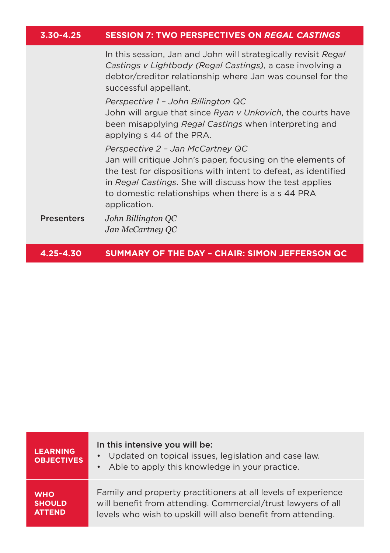|  | $3.30 - 4.25$ | <b>SESSION 7: TWO PERSPECTIVES ON REGAL CASTINGS</b> |
|--|---------------|------------------------------------------------------|
|--|---------------|------------------------------------------------------|

In this session, Jan and John will strategically revisit *Regal Castings v Lightbody (Regal Castings)*, a case involving a debtor/creditor relationship where Jan was counsel for the successful appellant.

*Perspective 1 – John Billington QC* John will argue that since *Ryan v Unkovich*, the courts have been misapplying *Regal Castings* when interpreting and applying s 44 of the PRA.

*Perspective 2 – Jan McCartney QC*

Jan will critique John's paper, focusing on the elements of the test for dispositions with intent to defeat, as identified in *Regal Castings*. She will discuss how the test applies to domestic relationships when there is a s 44 PRA application.

Presenters *John Billington QC Jan McCartney QC*

**4.25-4.30 SUMMARY OF THE DAY – CHAIR: SIMON JEFFERSON QC**

| <b>LEARNING</b><br><b>OBJECTIVES</b> | In this intensive you will be:<br>Updated on topical issues, legislation and case law.<br>Able to apply this knowledge in your practice.<br>$\bullet$ |
|--------------------------------------|-------------------------------------------------------------------------------------------------------------------------------------------------------|
| <b>WHO</b>                           | Family and property practitioners at all levels of experience                                                                                         |
| <b>SHOULD</b>                        | will benefit from attending. Commercial/trust lawyers of all                                                                                          |
| <b>ATTEND</b>                        | levels who wish to upskill will also benefit from attending.                                                                                          |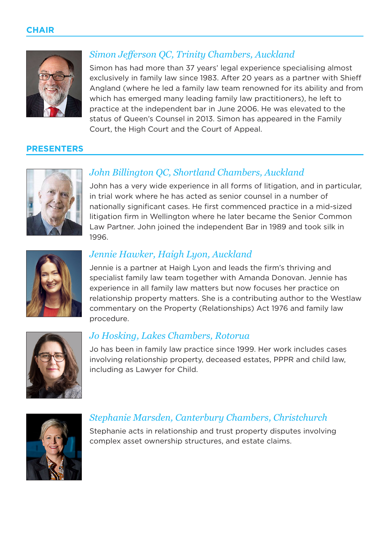#### **CHAIR**



# *Simon Jefferson QC, Trinity Chambers, Auckland*

Simon has had more than 37 years' legal experience specialising almost exclusively in family law since 1983. After 20 years as a partner with Shieff Angland (where he led a family law team renowned for its ability and from which has emerged many leading family law practitioners), he left to practice at the independent bar in June 2006. He was elevated to the status of Queen's Counsel in 2013. Simon has appeared in the Family Court, the High Court and the Court of Appeal.

#### **PRESENTERS**



# *John Billington QC, Shortland Chambers, Auckland*

John has a very wide experience in all forms of litigation, and in particular, in trial work where he has acted as senior counsel in a number of nationally significant cases. He first commenced practice in a mid-sized litigation firm in Wellington where he later became the Senior Common Law Partner. John joined the independent Bar in 1989 and took silk in 1996.



## *Jennie Hawker, Haigh Lyon, Auckland*

Jennie is a partner at Haigh Lyon and leads the firm's thriving and specialist family law team together with Amanda Donovan. Jennie has experience in all family law matters but now focuses her practice on relationship property matters. She is a contributing author to the Westlaw commentary on the Property (Relationships) Act 1976 and family law procedure.



#### *Jo Hosking, Lakes Chambers, Rotorua*

Jo has been in family law practice since 1999. Her work includes cases involving relationship property, deceased estates, PPPR and child law, including as Lawyer for Child.



#### *Stephanie Marsden, Canterbury Chambers, Christchurch*

Stephanie acts in relationship and trust property disputes involving complex asset ownership structures, and estate claims.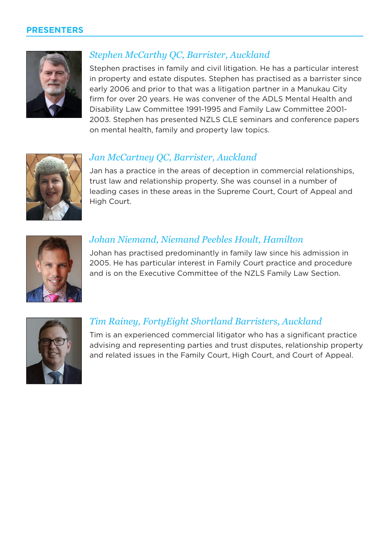#### **PRESENTERS**



# *Stephen McCarthy QC, Barrister, Auckland*

Stephen practises in family and civil litigation. He has a particular interest in property and estate disputes. Stephen has practised as a barrister since early 2006 and prior to that was a litigation partner in a Manukau City firm for over 20 years. He was convener of the ADLS Mental Health and Disability Law Committee 1991-1995 and Family Law Committee 2001- 2003. Stephen has presented NZLS CLE seminars and conference papers on mental health, family and property law topics.



# *Jan McCartney QC, Barrister, Auckland*

Jan has a practice in the areas of deception in commercial relationships, trust law and relationship property. She was counsel in a number of leading cases in these areas in the Supreme Court, Court of Appeal and High Court.



# *Johan Niemand, Niemand Peebles Hoult, Hamilton*

Johan has practised predominantly in family law since his admission in 2005. He has particular interest in Family Court practice and procedure and is on the Executive Committee of the NZLS Family Law Section.



## *Tim Rainey, FortyEight Shortland Barristers, Auckland*

Tim is an experienced commercial litigator who has a significant practice advising and representing parties and trust disputes, relationship property and related issues in the Family Court, High Court, and Court of Appeal.